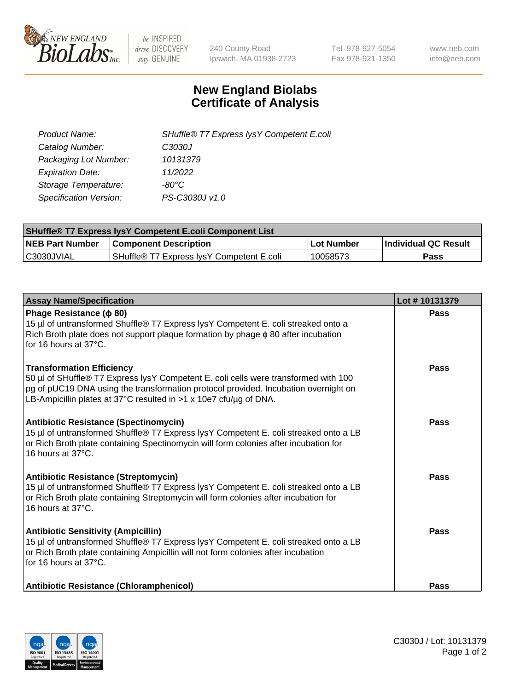

 $be$  INSPIRED drive DISCOVERY stay GENUINE

240 County Road Ipswich, MA 01938-2723 Tel 978-927-5054 Fax 978-921-1350 www.neb.com info@neb.com

## **New England Biolabs Certificate of Analysis**

| SHuffle® T7 Express lysY Competent E.coli |
|-------------------------------------------|
| C3030J                                    |
| 10131379                                  |
| 11/2022                                   |
| -80°C                                     |
| PS-C3030J v1.0                            |
|                                           |

| <b>SHuffle<sup>®</sup> T7 Express lysY Competent E.coli Component List</b> |                                           |            |                      |  |  |
|----------------------------------------------------------------------------|-------------------------------------------|------------|----------------------|--|--|
| <b>NEB Part Number</b>                                                     | <b>Component Description</b>              | Lot Number | Individual QC Result |  |  |
| IC3030JVIAL                                                                | SHuffle® T7 Express IvsY Competent E.coli | 10058573   | Pass                 |  |  |

| <b>Assay Name/Specification</b>                                                                                                                                                                                                                                                     | Lot #10131379 |
|-------------------------------------------------------------------------------------------------------------------------------------------------------------------------------------------------------------------------------------------------------------------------------------|---------------|
| Phage Resistance ( $\phi$ 80)<br>15 µl of untransformed Shuffle® T7 Express lysY Competent E. coli streaked onto a<br>Rich Broth plate does not support plaque formation by phage $\phi$ 80 after incubation<br>for 16 hours at 37°C.                                               | Pass          |
| <b>Transformation Efficiency</b><br>50 µl of SHuffle® T7 Express lysY Competent E. coli cells were transformed with 100<br>pg of pUC19 DNA using the transformation protocol provided. Incubation overnight on<br>LB-Ampicillin plates at 37°C resulted in >1 x 10e7 cfu/µg of DNA. | Pass          |
| <b>Antibiotic Resistance (Spectinomycin)</b><br>15 µl of untransformed Shuffle® T7 Express lysY Competent E. coli streaked onto a LB<br>or Rich Broth plate containing Spectinomycin will form colonies after incubation for<br>16 hours at 37°C.                                   | Pass          |
| <b>Antibiotic Resistance (Streptomycin)</b><br>15 µl of untransformed Shuffle® T7 Express lysY Competent E. coli streaked onto a LB<br>or Rich Broth plate containing Streptomycin will form colonies after incubation for<br>16 hours at 37°C.                                     | Pass          |
| <b>Antibiotic Sensitivity (Ampicillin)</b><br>15 µl of untransformed Shuffle® T7 Express lysY Competent E. coli streaked onto a LB<br>or Rich Broth plate containing Ampicillin will not form colonies after incubation<br>for 16 hours at 37°C.                                    | Pass          |
| Antibiotic Resistance (Chloramphenicol)                                                                                                                                                                                                                                             | Pass          |